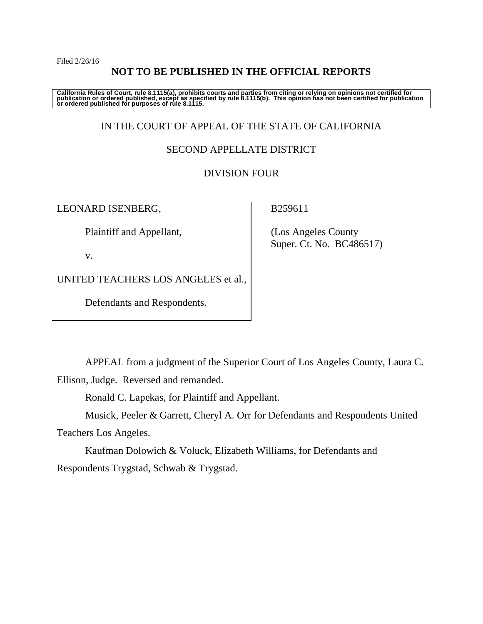Filed 2/26/16

## **NOT TO BE PUBLISHED IN THE OFFICIAL REPORTS**

California Rules of Court, rule 8.1115(a), prohibits courts and parties from citing or relying on opinions not certified for<br>publication or ordered published, except as specified by rule 8.1115(b). This opinion has not be

## IN THE COURT OF APPEAL OF THE STATE OF CALIFORNIA

## SECOND APPELLATE DISTRICT

## DIVISION FOUR

LEONARD ISENBERG,

Plaintiff and Appellant,

v.

UNITED TEACHERS LOS ANGELES et al.,

Defendants and Respondents.

B259611

 (Los Angeles County Super. Ct. No. BC486517)

APPEAL from a judgment of the Superior Court of Los Angeles County, Laura C.

Ellison, Judge. Reversed and remanded.

Ronald C. Lapekas, for Plaintiff and Appellant.

 Musick, Peeler & Garrett, Cheryl A. Orr for Defendants and Respondents United Teachers Los Angeles.

 Kaufman Dolowich & Voluck, Elizabeth Williams, for Defendants and Respondents Trygstad, Schwab & Trygstad.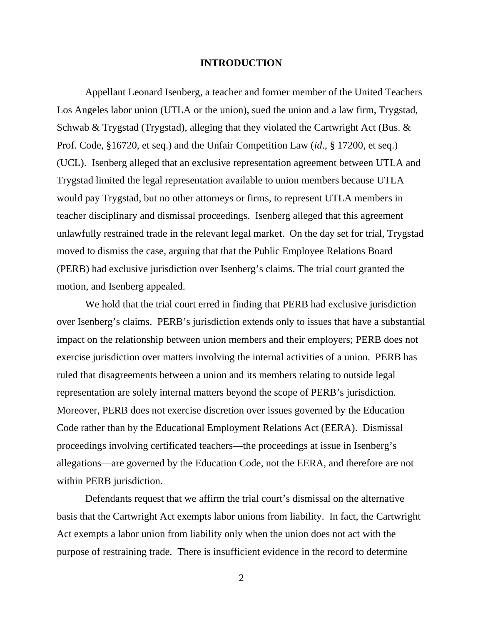#### **INTRODUCTION**

Appellant Leonard Isenberg, a teacher and former member of the United Teachers Los Angeles labor union (UTLA or the union), sued the union and a law firm, Trygstad, Schwab & Trygstad (Trygstad), alleging that they violated the Cartwright Act (Bus. & Prof. Code, §16720, et seq.) and the Unfair Competition Law (*id*., § 17200, et seq.) (UCL). Isenberg alleged that an exclusive representation agreement between UTLA and Trygstad limited the legal representation available to union members because UTLA would pay Trygstad, but no other attorneys or firms, to represent UTLA members in teacher disciplinary and dismissal proceedings. Isenberg alleged that this agreement unlawfully restrained trade in the relevant legal market. On the day set for trial, Trygstad moved to dismiss the case, arguing that that the Public Employee Relations Board (PERB) had exclusive jurisdiction over Isenberg's claims. The trial court granted the motion, and Isenberg appealed.

We hold that the trial court erred in finding that PERB had exclusive jurisdiction over Isenberg's claims. PERB's jurisdiction extends only to issues that have a substantial impact on the relationship between union members and their employers; PERB does not exercise jurisdiction over matters involving the internal activities of a union. PERB has ruled that disagreements between a union and its members relating to outside legal representation are solely internal matters beyond the scope of PERB's jurisdiction. Moreover, PERB does not exercise discretion over issues governed by the Education Code rather than by the Educational Employment Relations Act (EERA). Dismissal proceedings involving certificated teachers—the proceedings at issue in Isenberg's allegations—are governed by the Education Code, not the EERA, and therefore are not within PERB jurisdiction.

Defendants request that we affirm the trial court's dismissal on the alternative basis that the Cartwright Act exempts labor unions from liability. In fact, the Cartwright Act exempts a labor union from liability only when the union does not act with the purpose of restraining trade. There is insufficient evidence in the record to determine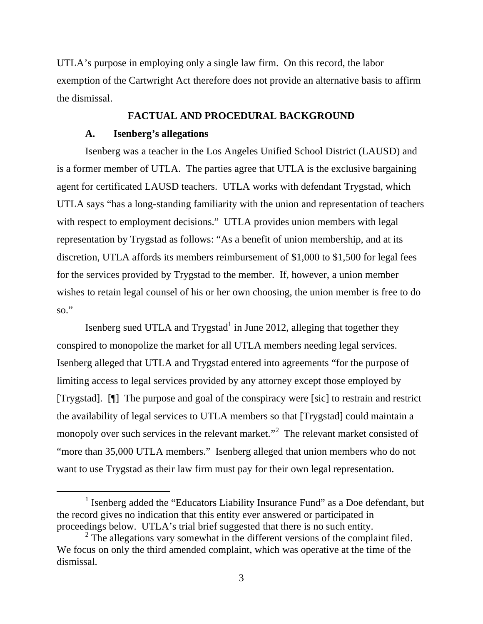UTLA's purpose in employing only a single law firm. On this record, the labor exemption of the Cartwright Act therefore does not provide an alternative basis to affirm the dismissal.

#### **FACTUAL AND PROCEDURAL BACKGROUND**

#### **A. Isenberg's allegations**

Isenberg was a teacher in the Los Angeles Unified School District (LAUSD) and is a former member of UTLA. The parties agree that UTLA is the exclusive bargaining agent for certificated LAUSD teachers. UTLA works with defendant Trygstad, which UTLA says "has a long-standing familiarity with the union and representation of teachers with respect to employment decisions." UTLA provides union members with legal representation by Trygstad as follows: "As a benefit of union membership, and at its discretion, UTLA affords its members reimbursement of \$1,000 to \$1,500 for legal fees for the services provided by Trygstad to the member. If, however, a union member wishes to retain legal counsel of his or her own choosing, the union member is free to do so."

Isenberg sued UTLA and Trygstad<sup>1</sup> in June 2012, alleging that together they conspired to monopolize the market for all UTLA members needing legal services. Isenberg alleged that UTLA and Trygstad entered into agreements "for the purpose of limiting access to legal services provided by any attorney except those employed by [Trygstad]. [¶] The purpose and goal of the conspiracy were [sic] to restrain and restrict the availability of legal services to UTLA members so that [Trygstad] could maintain a monopoly over such services in the relevant market."<sup>2</sup> The relevant market consisted of "more than 35,000 UTLA members." Isenberg alleged that union members who do not want to use Trygstad as their law firm must pay for their own legal representation.

<sup>&</sup>lt;sup>1</sup> Isenberg added the "Educators Liability Insurance Fund" as a Doe defendant, but the record gives no indication that this entity ever answered or participated in proceedings below. UTLA's trial brief suggested that there is no such entity.

 $2^2$  The allegations vary somewhat in the different versions of the complaint filed. We focus on only the third amended complaint, which was operative at the time of the dismissal.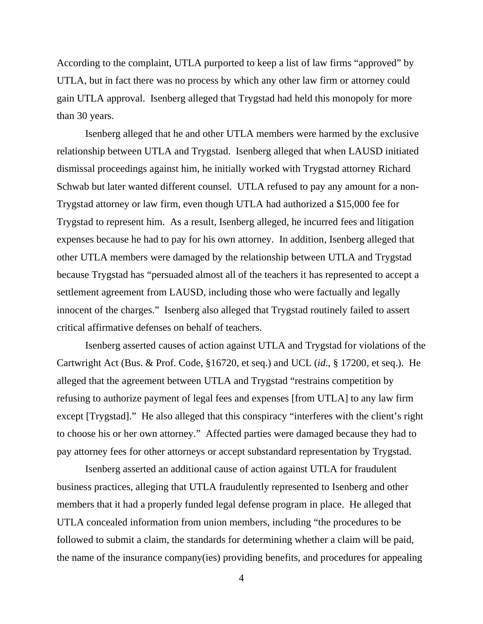According to the complaint, UTLA purported to keep a list of law firms "approved" by UTLA, but in fact there was no process by which any other law firm or attorney could gain UTLA approval. Isenberg alleged that Trygstad had held this monopoly for more than 30 years.

Isenberg alleged that he and other UTLA members were harmed by the exclusive relationship between UTLA and Trygstad. Isenberg alleged that when LAUSD initiated dismissal proceedings against him, he initially worked with Trygstad attorney Richard Schwab but later wanted different counsel. UTLA refused to pay any amount for a non-Trygstad attorney or law firm, even though UTLA had authorized a \$15,000 fee for Trygstad to represent him. As a result, Isenberg alleged, he incurred fees and litigation expenses because he had to pay for his own attorney. In addition, Isenberg alleged that other UTLA members were damaged by the relationship between UTLA and Trygstad because Trygstad has "persuaded almost all of the teachers it has represented to accept a settlement agreement from LAUSD, including those who were factually and legally innocent of the charges." Isenberg also alleged that Trygstad routinely failed to assert critical affirmative defenses on behalf of teachers.

Isenberg asserted causes of action against UTLA and Trygstad for violations of the Cartwright Act (Bus. & Prof. Code, §16720, et seq.) and UCL (*id*., § 17200, et seq.). He alleged that the agreement between UTLA and Trygstad "restrains competition by refusing to authorize payment of legal fees and expenses [from UTLA] to any law firm except [Trygstad]." He also alleged that this conspiracy "interferes with the client's right to choose his or her own attorney." Affected parties were damaged because they had to pay attorney fees for other attorneys or accept substandard representation by Trygstad.

Isenberg asserted an additional cause of action against UTLA for fraudulent business practices, alleging that UTLA fraudulently represented to Isenberg and other members that it had a properly funded legal defense program in place. He alleged that UTLA concealed information from union members, including "the procedures to be followed to submit a claim, the standards for determining whether a claim will be paid, the name of the insurance company(ies) providing benefits, and procedures for appealing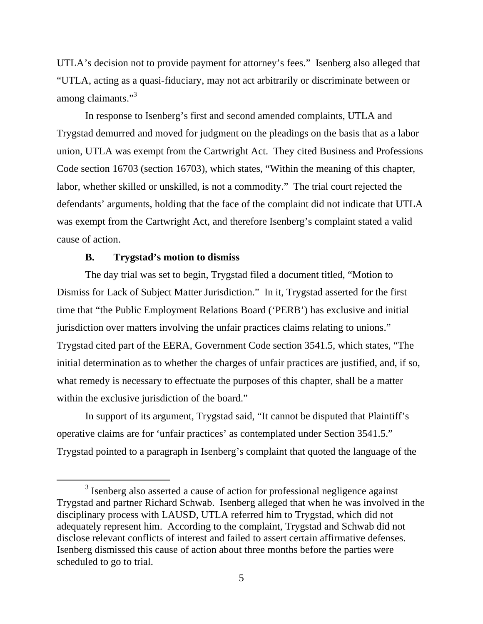UTLA's decision not to provide payment for attorney's fees." Isenberg also alleged that "UTLA, acting as a quasi-fiduciary, may not act arbitrarily or discriminate between or among claimants."<sup>3</sup>

In response to Isenberg's first and second amended complaints, UTLA and Trygstad demurred and moved for judgment on the pleadings on the basis that as a labor union, UTLA was exempt from the Cartwright Act. They cited Business and Professions Code section 16703 (section 16703), which states, "Within the meaning of this chapter, labor, whether skilled or unskilled, is not a commodity." The trial court rejected the defendants' arguments, holding that the face of the complaint did not indicate that UTLA was exempt from the Cartwright Act, and therefore Isenberg's complaint stated a valid cause of action.

### **B. Trygstad's motion to dismiss**

The day trial was set to begin, Trygstad filed a document titled, "Motion to Dismiss for Lack of Subject Matter Jurisdiction." In it, Trygstad asserted for the first time that "the Public Employment Relations Board ('PERB') has exclusive and initial jurisdiction over matters involving the unfair practices claims relating to unions." Trygstad cited part of the EERA, Government Code section 3541.5, which states, "The initial determination as to whether the charges of unfair practices are justified, and, if so, what remedy is necessary to effectuate the purposes of this chapter, shall be a matter within the exclusive jurisdiction of the board."

In support of its argument, Trygstad said, "It cannot be disputed that Plaintiff's operative claims are for 'unfair practices' as contemplated under Section 3541.5." Trygstad pointed to a paragraph in Isenberg's complaint that quoted the language of the

<sup>&</sup>lt;sup>3</sup> Isenberg also asserted a cause of action for professional negligence against Trygstad and partner Richard Schwab. Isenberg alleged that when he was involved in the disciplinary process with LAUSD, UTLA referred him to Trygstad, which did not adequately represent him. According to the complaint, Trygstad and Schwab did not disclose relevant conflicts of interest and failed to assert certain affirmative defenses. Isenberg dismissed this cause of action about three months before the parties were scheduled to go to trial.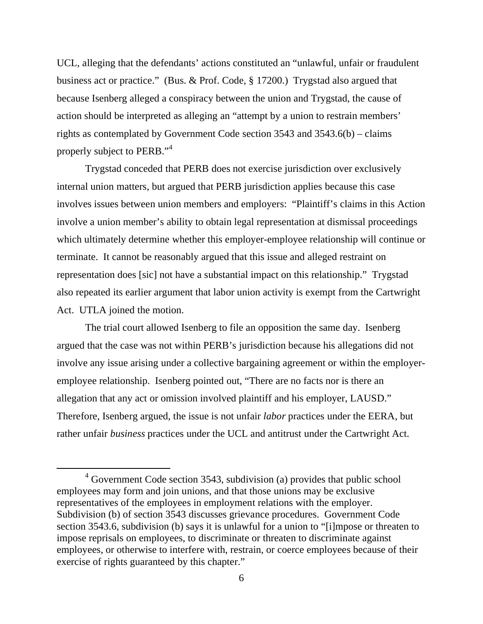UCL, alleging that the defendants' actions constituted an "unlawful, unfair or fraudulent business act or practice." (Bus. & Prof. Code, § 17200.) Trygstad also argued that because Isenberg alleged a conspiracy between the union and Trygstad, the cause of action should be interpreted as alleging an "attempt by a union to restrain members' rights as contemplated by Government Code section 3543 and 3543.6(b) – claims properly subject to PERB."<sup>4</sup>

Trygstad conceded that PERB does not exercise jurisdiction over exclusively internal union matters, but argued that PERB jurisdiction applies because this case involves issues between union members and employers: "Plaintiff's claims in this Action involve a union member's ability to obtain legal representation at dismissal proceedings which ultimately determine whether this employer-employee relationship will continue or terminate. It cannot be reasonably argued that this issue and alleged restraint on representation does [sic] not have a substantial impact on this relationship." Trygstad also repeated its earlier argument that labor union activity is exempt from the Cartwright Act. UTLA joined the motion.

The trial court allowed Isenberg to file an opposition the same day. Isenberg argued that the case was not within PERB's jurisdiction because his allegations did not involve any issue arising under a collective bargaining agreement or within the employeremployee relationship. Isenberg pointed out, "There are no facts nor is there an allegation that any act or omission involved plaintiff and his employer, LAUSD." Therefore, Isenberg argued, the issue is not unfair *labor* practices under the EERA, but rather unfair *business* practices under the UCL and antitrust under the Cartwright Act.

 $4$  Government Code section 3543, subdivision (a) provides that public school employees may form and join unions, and that those unions may be exclusive representatives of the employees in employment relations with the employer. Subdivision (b) of section 3543 discusses grievance procedures. Government Code section 3543.6, subdivision (b) says it is unlawful for a union to "[i]mpose or threaten to impose reprisals on employees, to discriminate or threaten to discriminate against employees, or otherwise to interfere with, restrain, or coerce employees because of their exercise of rights guaranteed by this chapter."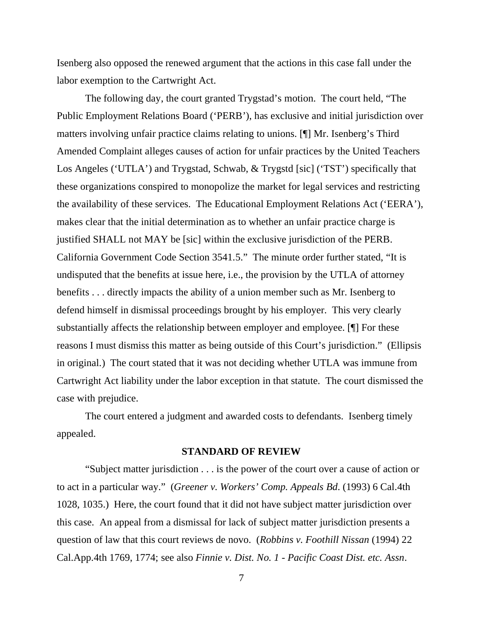Isenberg also opposed the renewed argument that the actions in this case fall under the labor exemption to the Cartwright Act.

The following day, the court granted Trygstad's motion. The court held, "The Public Employment Relations Board ('PERB'), has exclusive and initial jurisdiction over matters involving unfair practice claims relating to unions. [¶] Mr. Isenberg's Third Amended Complaint alleges causes of action for unfair practices by the United Teachers Los Angeles ('UTLA') and Trygstad, Schwab, & Trygstd [sic] ('TST') specifically that these organizations conspired to monopolize the market for legal services and restricting the availability of these services. The Educational Employment Relations Act ('EERA'), makes clear that the initial determination as to whether an unfair practice charge is justified SHALL not MAY be [sic] within the exclusive jurisdiction of the PERB. California Government Code Section 3541.5." The minute order further stated, "It is undisputed that the benefits at issue here, i.e., the provision by the UTLA of attorney benefits . . . directly impacts the ability of a union member such as Mr. Isenberg to defend himself in dismissal proceedings brought by his employer. This very clearly substantially affects the relationship between employer and employee. [¶] For these reasons I must dismiss this matter as being outside of this Court's jurisdiction." (Ellipsis in original.) The court stated that it was not deciding whether UTLA was immune from Cartwright Act liability under the labor exception in that statute. The court dismissed the case with prejudice.

The court entered a judgment and awarded costs to defendants. Isenberg timely appealed.

#### **STANDARD OF REVIEW**

"Subject matter jurisdiction . . . is the power of the court over a cause of action or to act in a particular way." (*Greener v. Workers' Comp. Appeals Bd*. (1993) 6 Cal.4th 1028, 1035.) Here, the court found that it did not have subject matter jurisdiction over this case. An appeal from a dismissal for lack of subject matter jurisdiction presents a question of law that this court reviews de novo. (*Robbins v. Foothill Nissan* (1994) 22 Cal.App.4th 1769, 1774; see also *Finnie v. Dist. No. 1 - Pacific Coast Dist. etc. Assn*.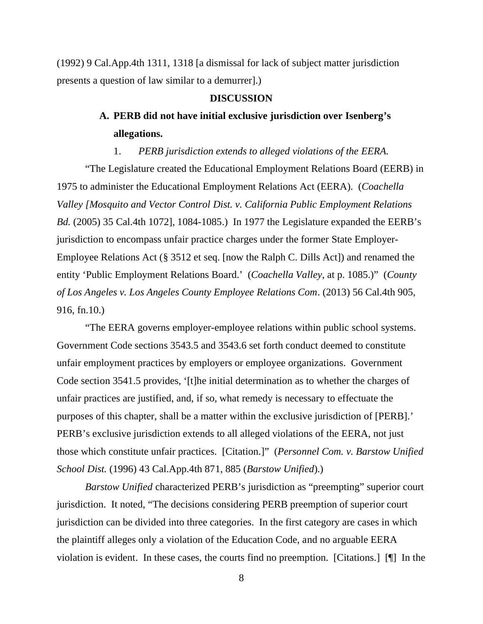(1992) 9 Cal.App.4th 1311, 1318 [a dismissal for lack of subject matter jurisdiction presents a question of law similar to a demurrer].)

#### **DISCUSSION**

# **A. PERB did not have initial exclusive jurisdiction over Isenberg's allegations.**

1. *PERB jurisdiction extends to alleged violations of the EERA.*

"The Legislature created the Educational Employment Relations Board (EERB) in 1975 to administer the Educational Employment Relations Act (EERA). (*Coachella Valley [Mosquito and Vector Control Dist. v. California Public Employment Relations Bd.* (2005) 35 Cal.4th 1072], 1084-1085.) In 1977 the Legislature expanded the EERB's jurisdiction to encompass unfair practice charges under the former State Employer-Employee Relations Act (§ 3512 et seq. [now the Ralph C. Dills Act]) and renamed the entity 'Public Employment Relations Board.' (*Coachella Valley*, at p. 1085.)" (*County of Los Angeles v. Los Angeles County Employee Relations Com*. (2013) 56 Cal.4th 905, 916, fn.10.)

"The EERA governs employer-employee relations within public school systems. Government Code sections 3543.5 and 3543.6 set forth conduct deemed to constitute unfair employment practices by employers or employee organizations. Government Code section 3541.5 provides, '[t]he initial determination as to whether the charges of unfair practices are justified, and, if so, what remedy is necessary to effectuate the purposes of this chapter, shall be a matter within the exclusive jurisdiction of [PERB].' PERB's exclusive jurisdiction extends to all alleged violations of the EERA, not just those which constitute unfair practices. [Citation.]" (*Personnel Com. v. Barstow Unified School Dist.* (1996) 43 Cal.App.4th 871, 885 (*Barstow Unified*).)

*Barstow Unified* characterized PERB's jurisdiction as "preempting" superior court jurisdiction. It noted, "The decisions considering PERB preemption of superior court jurisdiction can be divided into three categories. In the first category are cases in which the plaintiff alleges only a violation of the Education Code, and no arguable EERA violation is evident. In these cases, the courts find no preemption. [Citations.] [¶] In the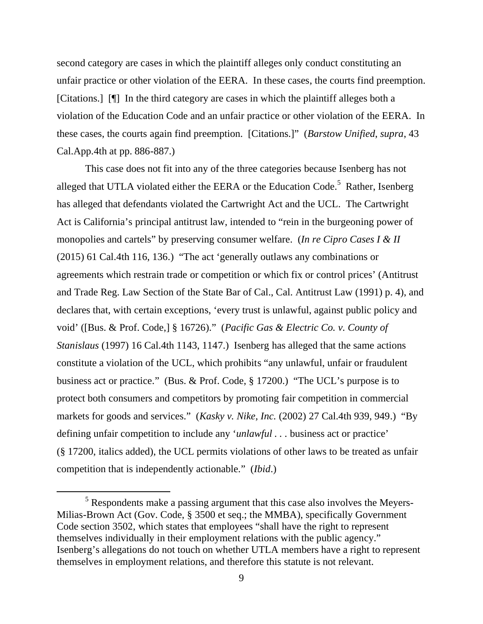second category are cases in which the plaintiff alleges only conduct constituting an unfair practice or other violation of the EERA. In these cases, the courts find preemption. [Citations.] [¶] In the third category are cases in which the plaintiff alleges both a violation of the Education Code and an unfair practice or other violation of the EERA. In these cases, the courts again find preemption. [Citations.]" (*Barstow Unified*, *supra*, 43 Cal.App.4th at pp. 886-887.)

This case does not fit into any of the three categories because Isenberg has not alleged that UTLA violated either the EERA or the Education Code.<sup>5</sup> Rather, Isenberg has alleged that defendants violated the Cartwright Act and the UCL. The Cartwright Act is California's principal antitrust law, intended to "rein in the burgeoning power of monopolies and cartels" by preserving consumer welfare. (*In re Cipro Cases I & II* (2015) 61 Cal.4th 116, 136.) "The act 'generally outlaws any combinations or agreements which restrain trade or competition or which fix or control prices' (Antitrust and Trade Reg. Law Section of the State Bar of Cal., Cal. Antitrust Law (1991) p. 4), and declares that, with certain exceptions, 'every trust is unlawful, against public policy and void' ([Bus. & Prof. Code,] § 16726)." (*Pacific Gas & Electric Co. v. County of Stanislaus* (1997) 16 Cal.4th 1143, 1147.) Isenberg has alleged that the same actions constitute a violation of the UCL, which prohibits "any unlawful, unfair or fraudulent business act or practice." (Bus. & Prof. Code, § 17200.) "The UCL's purpose is to protect both consumers and competitors by promoting fair competition in commercial markets for goods and services." (*Kasky v. Nike, Inc.* (2002) 27 Cal.4th 939, 949.) "By defining unfair competition to include any '*unlawful . . .* business act or practice' (§ 17200, italics added), the UCL permits violations of other laws to be treated as unfair competition that is independently actionable." (*Ibid*.)

 $<sup>5</sup>$  Respondents make a passing argument that this case also involves the Meyers-</sup> Milias-Brown Act (Gov. Code, § 3500 et seq.; the MMBA), specifically Government Code section 3502, which states that employees "shall have the right to represent themselves individually in their employment relations with the public agency." Isenberg's allegations do not touch on whether UTLA members have a right to represent themselves in employment relations, and therefore this statute is not relevant.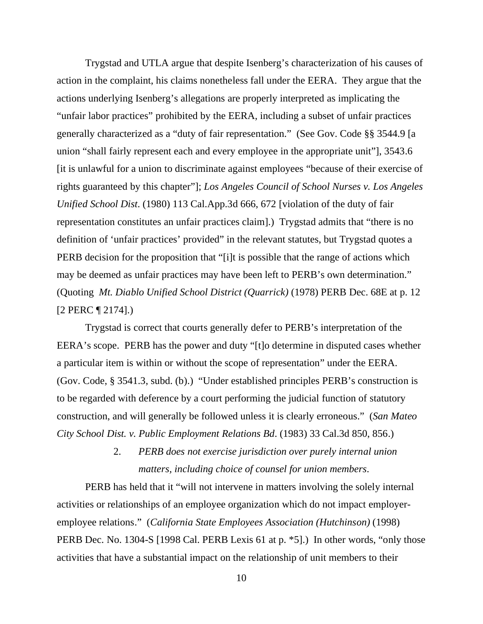Trygstad and UTLA argue that despite Isenberg's characterization of his causes of action in the complaint, his claims nonetheless fall under the EERA. They argue that the actions underlying Isenberg's allegations are properly interpreted as implicating the "unfair labor practices" prohibited by the EERA, including a subset of unfair practices generally characterized as a "duty of fair representation." (See Gov. Code §§ 3544.9 [a union "shall fairly represent each and every employee in the appropriate unit"], 3543.6 [it is unlawful for a union to discriminate against employees "because of their exercise of rights guaranteed by this chapter"]; *Los Angeles Council of School Nurses v. Los Angeles Unified School Dist*. (1980) 113 Cal.App.3d 666, 672 [violation of the duty of fair representation constitutes an unfair practices claim].) Trygstad admits that "there is no definition of 'unfair practices' provided" in the relevant statutes, but Trygstad quotes a PERB decision for the proposition that "[i]t is possible that the range of actions which may be deemed as unfair practices may have been left to PERB's own determination." (Quoting *Mt. Diablo Unified School District (Quarrick)* (1978) PERB Dec. 68E at p. 12 [2 PERC ¶ 2174].)

Trygstad is correct that courts generally defer to PERB's interpretation of the EERA's scope. PERB has the power and duty "[t]o determine in disputed cases whether a particular item is within or without the scope of representation" under the EERA. (Gov. Code, § 3541.3, subd. (b).) "Under established principles PERB's construction is to be regarded with deference by a court performing the judicial function of statutory construction, and will generally be followed unless it is clearly erroneous." (*San Mateo City School Dist. v. Public Employment Relations Bd*. (1983) 33 Cal.3d 850, 856.)

> 2. *PERB does not exercise jurisdiction over purely internal union matters, including choice of counsel for union members.*

PERB has held that it "will not intervene in matters involving the solely internal activities or relationships of an employee organization which do not impact employeremployee relations." (*California State Employees Association (Hutchinson)* (1998) PERB Dec. No. 1304-S [1998 Cal. PERB Lexis 61 at p. \*5].) In other words, "only those activities that have a substantial impact on the relationship of unit members to their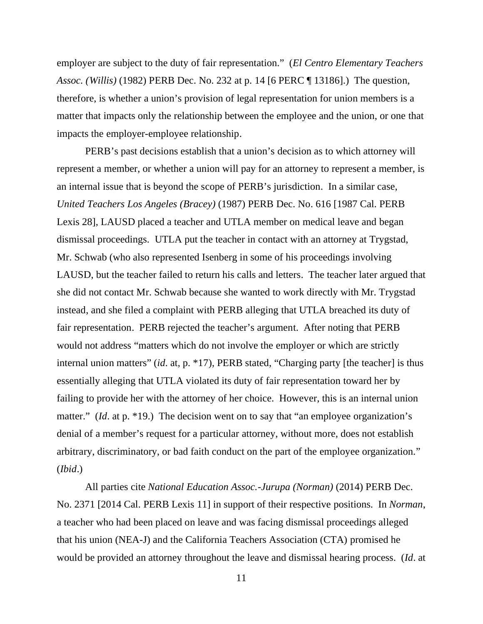employer are subject to the duty of fair representation." (*El Centro Elementary Teachers Assoc. (Willis)* (1982) PERB Dec. No. 232 at p. 14 [6 PERC ¶ 13186].) The question, therefore, is whether a union's provision of legal representation for union members is a matter that impacts only the relationship between the employee and the union, or one that impacts the employer-employee relationship.

PERB's past decisions establish that a union's decision as to which attorney will represent a member, or whether a union will pay for an attorney to represent a member, is an internal issue that is beyond the scope of PERB's jurisdiction. In a similar case, *United Teachers Los Angeles (Bracey)* (1987) PERB Dec. No. 616 [1987 Cal. PERB Lexis 28], LAUSD placed a teacher and UTLA member on medical leave and began dismissal proceedings. UTLA put the teacher in contact with an attorney at Trygstad, Mr. Schwab (who also represented Isenberg in some of his proceedings involving LAUSD, but the teacher failed to return his calls and letters. The teacher later argued that she did not contact Mr. Schwab because she wanted to work directly with Mr. Trygstad instead, and she filed a complaint with PERB alleging that UTLA breached its duty of fair representation. PERB rejected the teacher's argument. After noting that PERB would not address "matters which do not involve the employer or which are strictly internal union matters" (*id*. at, p. \*17), PERB stated, "Charging party [the teacher] is thus essentially alleging that UTLA violated its duty of fair representation toward her by failing to provide her with the attorney of her choice. However, this is an internal union matter." *(Id.* at p. \*19.) The decision went on to say that "an employee organization's denial of a member's request for a particular attorney, without more, does not establish arbitrary, discriminatory, or bad faith conduct on the part of the employee organization." (*Ibid*.)

All parties cite *National Education Assoc.-Jurupa (Norman)* (2014) PERB Dec. No. 2371 [2014 Cal. PERB Lexis 11] in support of their respective positions. In *Norman*, a teacher who had been placed on leave and was facing dismissal proceedings alleged that his union (NEA-J) and the California Teachers Association (CTA) promised he would be provided an attorney throughout the leave and dismissal hearing process. (*Id*. at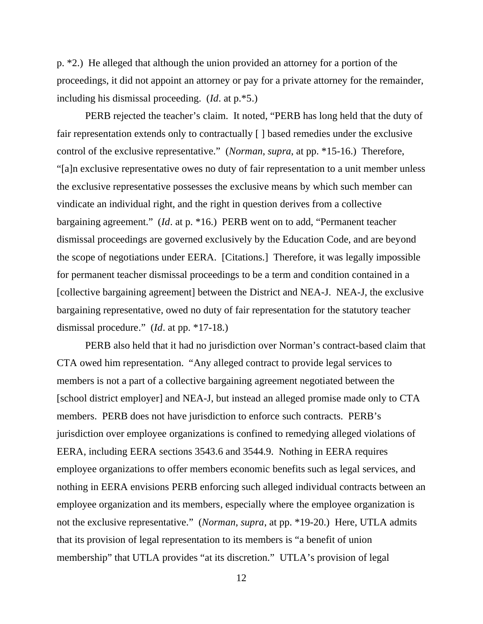p. \*2.) He alleged that although the union provided an attorney for a portion of the proceedings, it did not appoint an attorney or pay for a private attorney for the remainder, including his dismissal proceeding. (*Id*. at p.\*5.)

PERB rejected the teacher's claim. It noted, "PERB has long held that the duty of fair representation extends only to contractually [ ] based remedies under the exclusive control of the exclusive representative." (*Norman*, *supra*, at pp. \*15-16.) Therefore, "[a]n exclusive representative owes no duty of fair representation to a unit member unless the exclusive representative possesses the exclusive means by which such member can vindicate an individual right, and the right in question derives from a collective bargaining agreement." (*Id*. at p. \*16.) PERB went on to add, "Permanent teacher dismissal proceedings are governed exclusively by the Education Code, and are beyond the scope of negotiations under EERA. [Citations.] Therefore, it was legally impossible for permanent teacher dismissal proceedings to be a term and condition contained in a [collective bargaining agreement] between the District and NEA-J. NEA-J, the exclusive bargaining representative, owed no duty of fair representation for the statutory teacher dismissal procedure." (*Id*. at pp. \*17-18.)

PERB also held that it had no jurisdiction over Norman's contract-based claim that CTA owed him representation. "Any alleged contract to provide legal services to members is not a part of a collective bargaining agreement negotiated between the [school district employer] and NEA-J, but instead an alleged promise made only to CTA members. PERB does not have jurisdiction to enforce such contracts. PERB's jurisdiction over employee organizations is confined to remedying alleged violations of EERA, including EERA sections 3543.6 and 3544.9. Nothing in EERA requires employee organizations to offer members economic benefits such as legal services, and nothing in EERA envisions PERB enforcing such alleged individual contracts between an employee organization and its members, especially where the employee organization is not the exclusive representative." (*Norman*, *supra*, at pp. \*19-20.) Here, UTLA admits that its provision of legal representation to its members is "a benefit of union membership" that UTLA provides "at its discretion." UTLA's provision of legal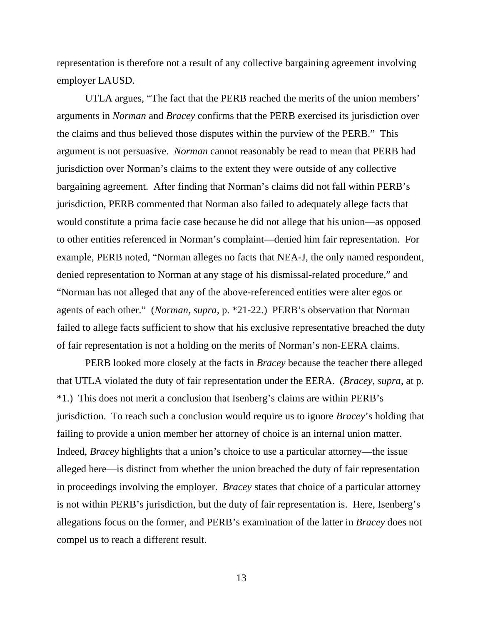representation is therefore not a result of any collective bargaining agreement involving employer LAUSD.

UTLA argues, "The fact that the PERB reached the merits of the union members' arguments in *Norman* and *Bracey* confirms that the PERB exercised its jurisdiction over the claims and thus believed those disputes within the purview of the PERB." This argument is not persuasive. *Norman* cannot reasonably be read to mean that PERB had jurisdiction over Norman's claims to the extent they were outside of any collective bargaining agreement. After finding that Norman's claims did not fall within PERB's jurisdiction, PERB commented that Norman also failed to adequately allege facts that would constitute a prima facie case because he did not allege that his union—as opposed to other entities referenced in Norman's complaint—denied him fair representation. For example, PERB noted, "Norman alleges no facts that NEA-J, the only named respondent, denied representation to Norman at any stage of his dismissal-related procedure," and "Norman has not alleged that any of the above-referenced entities were alter egos or agents of each other." (*Norman*, *supra*, p. \*21-22.) PERB's observation that Norman failed to allege facts sufficient to show that his exclusive representative breached the duty of fair representation is not a holding on the merits of Norman's non-EERA claims.

PERB looked more closely at the facts in *Bracey* because the teacher there alleged that UTLA violated the duty of fair representation under the EERA. (*Bracey*, *supra*, at p. \*1.) This does not merit a conclusion that Isenberg's claims are within PERB's jurisdiction. To reach such a conclusion would require us to ignore *Bracey*'s holding that failing to provide a union member her attorney of choice is an internal union matter. Indeed, *Bracey* highlights that a union's choice to use a particular attorney—the issue alleged here—is distinct from whether the union breached the duty of fair representation in proceedings involving the employer. *Bracey* states that choice of a particular attorney is not within PERB's jurisdiction, but the duty of fair representation is. Here, Isenberg's allegations focus on the former, and PERB's examination of the latter in *Bracey* does not compel us to reach a different result.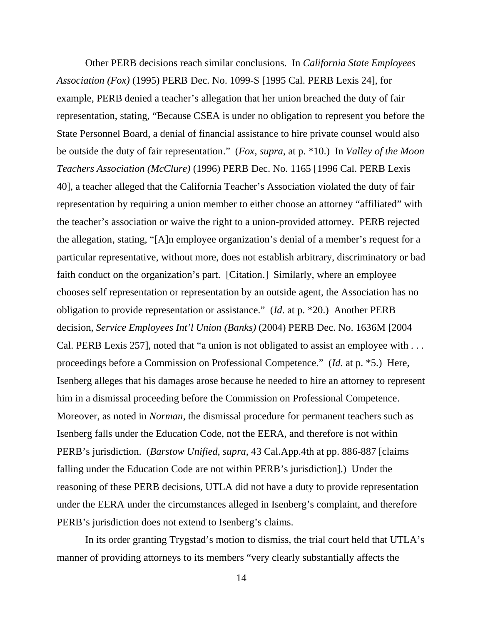Other PERB decisions reach similar conclusions. In *California State Employees Association (Fox)* (1995) PERB Dec. No. 1099-S [1995 Cal. PERB Lexis 24], for example, PERB denied a teacher's allegation that her union breached the duty of fair representation, stating, "Because CSEA is under no obligation to represent you before the State Personnel Board, a denial of financial assistance to hire private counsel would also be outside the duty of fair representation." (*Fox, supra*, at p. \*10.) In *Valley of the Moon Teachers Association (McClure)* (1996) PERB Dec. No. 1165 [1996 Cal. PERB Lexis 40], a teacher alleged that the California Teacher's Association violated the duty of fair representation by requiring a union member to either choose an attorney "affiliated" with the teacher's association or waive the right to a union-provided attorney. PERB rejected the allegation, stating, "[A]n employee organization's denial of a member's request for a particular representative, without more, does not establish arbitrary, discriminatory or bad faith conduct on the organization's part. [Citation.] Similarly, where an employee chooses self representation or representation by an outside agent, the Association has no obligation to provide representation or assistance." (*Id*. at p. \*20.) Another PERB decision, *Service Employees Int'l Union (Banks)* (2004) PERB Dec. No. 1636M [2004 Cal. PERB Lexis 257], noted that "a union is not obligated to assist an employee with . . . proceedings before a Commission on Professional Competence." (*Id*. at p. \*5.) Here, Isenberg alleges that his damages arose because he needed to hire an attorney to represent him in a dismissal proceeding before the Commission on Professional Competence. Moreover, as noted in *Norman*, the dismissal procedure for permanent teachers such as Isenberg falls under the Education Code, not the EERA, and therefore is not within PERB's jurisdiction. (*Barstow Unified, supra,* 43 Cal.App.4th at pp. 886-887 [claims falling under the Education Code are not within PERB's jurisdiction].) Under the reasoning of these PERB decisions, UTLA did not have a duty to provide representation under the EERA under the circumstances alleged in Isenberg's complaint, and therefore PERB's jurisdiction does not extend to Isenberg's claims.

In its order granting Trygstad's motion to dismiss, the trial court held that UTLA's manner of providing attorneys to its members "very clearly substantially affects the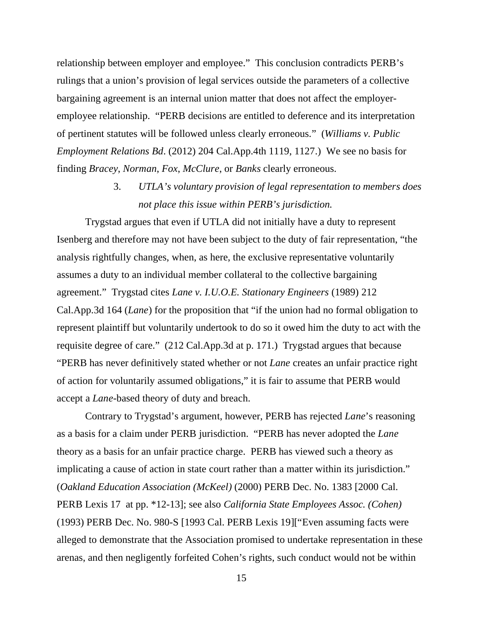relationship between employer and employee." This conclusion contradicts PERB's rulings that a union's provision of legal services outside the parameters of a collective bargaining agreement is an internal union matter that does not affect the employeremployee relationship. "PERB decisions are entitled to deference and its interpretation of pertinent statutes will be followed unless clearly erroneous." (*Williams v. Public Employment Relations Bd*. (2012) 204 Cal.App.4th 1119, 1127.) We see no basis for finding *Bracey*, *Norman*, *Fox*, *McClure*, or *Banks* clearly erroneous.

> 3. *UTLA's voluntary provision of legal representation to members does not place this issue within PERB's jurisdiction.*

Trygstad argues that even if UTLA did not initially have a duty to represent Isenberg and therefore may not have been subject to the duty of fair representation, "the analysis rightfully changes, when, as here, the exclusive representative voluntarily assumes a duty to an individual member collateral to the collective bargaining agreement." Trygstad cites *Lane v. I.U.O.E. Stationary Engineers* (1989) 212 Cal.App.3d 164 (*Lane*) for the proposition that "if the union had no formal obligation to represent plaintiff but voluntarily undertook to do so it owed him the duty to act with the requisite degree of care." (212 Cal.App.3d at p. 171.) Trygstad argues that because "PERB has never definitively stated whether or not *Lane* creates an unfair practice right of action for voluntarily assumed obligations," it is fair to assume that PERB would accept a *Lane*-based theory of duty and breach.

Contrary to Trygstad's argument, however, PERB has rejected *Lane*'s reasoning as a basis for a claim under PERB jurisdiction. "PERB has never adopted the *Lane* theory as a basis for an unfair practice charge. PERB has viewed such a theory as implicating a cause of action in state court rather than a matter within its jurisdiction." (*Oakland Education Association (McKeel)* (2000) PERB Dec. No. 1383 [2000 Cal. PERB Lexis 17 at pp. \*12-13]; see also *California State Employees Assoc. (Cohen)* (1993) PERB Dec. No. 980-S [1993 Cal. PERB Lexis 19]["Even assuming facts were alleged to demonstrate that the Association promised to undertake representation in these arenas, and then negligently forfeited Cohen's rights, such conduct would not be within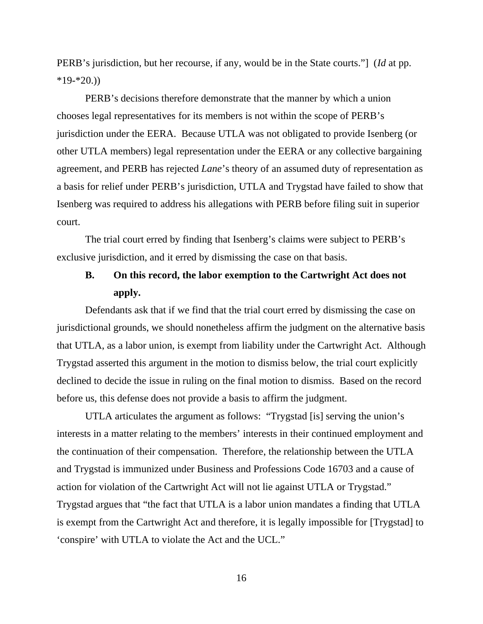PERB's jurisdiction, but her recourse, if any, would be in the State courts."] (*Id* at pp.  $*19-*20.$ )

PERB's decisions therefore demonstrate that the manner by which a union chooses legal representatives for its members is not within the scope of PERB's jurisdiction under the EERA. Because UTLA was not obligated to provide Isenberg (or other UTLA members) legal representation under the EERA or any collective bargaining agreement, and PERB has rejected *Lane*'s theory of an assumed duty of representation as a basis for relief under PERB's jurisdiction, UTLA and Trygstad have failed to show that Isenberg was required to address his allegations with PERB before filing suit in superior court.

The trial court erred by finding that Isenberg's claims were subject to PERB's exclusive jurisdiction, and it erred by dismissing the case on that basis.

# **B. On this record, the labor exemption to the Cartwright Act does not apply.**

Defendants ask that if we find that the trial court erred by dismissing the case on jurisdictional grounds, we should nonetheless affirm the judgment on the alternative basis that UTLA, as a labor union, is exempt from liability under the Cartwright Act. Although Trygstad asserted this argument in the motion to dismiss below, the trial court explicitly declined to decide the issue in ruling on the final motion to dismiss. Based on the record before us, this defense does not provide a basis to affirm the judgment.

UTLA articulates the argument as follows: "Trygstad [is] serving the union's interests in a matter relating to the members' interests in their continued employment and the continuation of their compensation. Therefore, the relationship between the UTLA and Trygstad is immunized under Business and Professions Code 16703 and a cause of action for violation of the Cartwright Act will not lie against UTLA or Trygstad." Trygstad argues that "the fact that UTLA is a labor union mandates a finding that UTLA is exempt from the Cartwright Act and therefore, it is legally impossible for [Trygstad] to 'conspire' with UTLA to violate the Act and the UCL."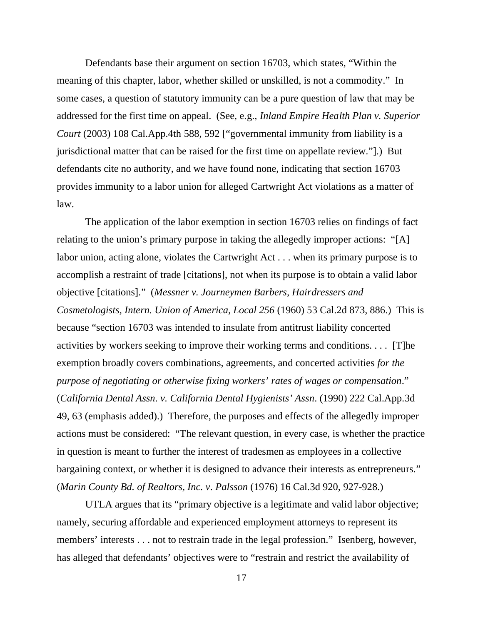Defendants base their argument on section 16703, which states, "Within the meaning of this chapter, labor, whether skilled or unskilled, is not a commodity." In some cases, a question of statutory immunity can be a pure question of law that may be addressed for the first time on appeal. (See, e.g., *Inland Empire Health Plan v. Superior Court* (2003) 108 Cal.App.4th 588, 592 ["governmental immunity from liability is a jurisdictional matter that can be raised for the first time on appellate review."].) But defendants cite no authority, and we have found none, indicating that section 16703 provides immunity to a labor union for alleged Cartwright Act violations as a matter of law.

The application of the labor exemption in section 16703 relies on findings of fact relating to the union's primary purpose in taking the allegedly improper actions: "[A] labor union, acting alone, violates the Cartwright Act . . . when its primary purpose is to accomplish a restraint of trade [citations], not when its purpose is to obtain a valid labor objective [citations]." (*Messner v. Journeymen Barbers, Hairdressers and Cosmetologists, Intern. Union of America, Local 256* (1960) 53 Cal.2d 873, 886.) This is because "section 16703 was intended to insulate from antitrust liability concerted activities by workers seeking to improve their working terms and conditions. . . . [T]he exemption broadly covers combinations, agreements, and concerted activities *for the purpose of negotiating or otherwise fixing workers' rates of wages or compensation*." (*California Dental Assn. v. California Dental Hygienists' Assn*. (1990) 222 Cal.App.3d 49, 63 (emphasis added).) Therefore, the purposes and effects of the allegedly improper actions must be considered: "The relevant question, in every case, is whether the practice in question is meant to further the interest of tradesmen as employees in a collective bargaining context, or whether it is designed to advance their interests as entrepreneurs." (*Marin County Bd. of Realtors, Inc. v. Palsson* (1976) 16 Cal.3d 920, 927-928.)

UTLA argues that its "primary objective is a legitimate and valid labor objective; namely, securing affordable and experienced employment attorneys to represent its members' interests . . . not to restrain trade in the legal profession." Isenberg, however, has alleged that defendants' objectives were to "restrain and restrict the availability of